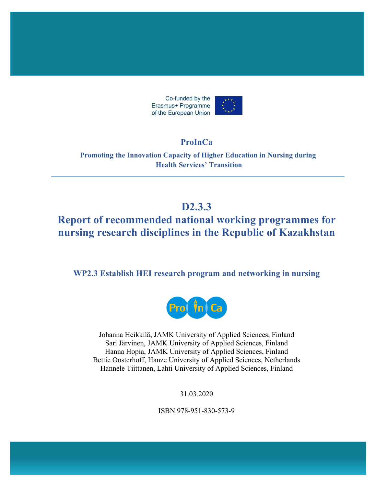

# **ProInCa**

**Promoting the Innovation Capacity of Higher Education in Nursing during Health Services' Transition** 

# **D2.3.3**

# **Report of recommended national working programmes for nursing research disciplines in the Republic of Kazakhstan**

**WP2.3 Establish HEI research program and networking in nursing** 



Johanna Heikkilä, JAMK University of Applied Sciences, Finland Sari Järvinen, JAMK University of Applied Sciences, Finland Hanna Hopia, JAMK University of Applied Sciences, Finland Bettie Oosterhoff, Hanze University of Applied Sciences, Netherlands Hannele Tiittanen, Lahti University of Applied Sciences, Finland

31.03.2020

ISBN 978-951-830-573-9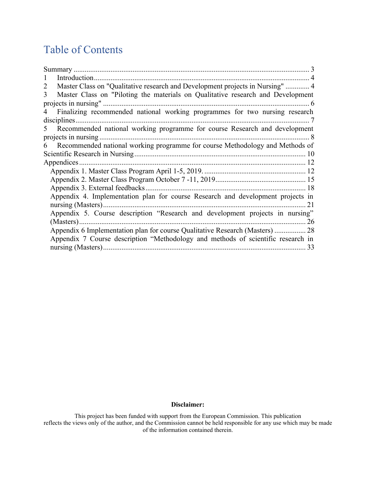# Table of Contents

| Master Class on "Qualitative research and Development projects in Nursing"  4<br>2   |
|--------------------------------------------------------------------------------------|
| Master Class on "Piloting the materials on Qualitative research and Development<br>3 |
|                                                                                      |
| Finalizing recommended national working programmes for two nursing research<br>4     |
|                                                                                      |
| Recommended national working programme for course Research and development<br>5      |
|                                                                                      |
| Recommended national working programme for course Methodology and Methods of<br>6    |
|                                                                                      |
|                                                                                      |
|                                                                                      |
|                                                                                      |
|                                                                                      |
| Appendix 4. Implementation plan for course Research and development projects in      |
|                                                                                      |
| Appendix 5. Course description "Research and development projects in nursing"        |
|                                                                                      |
| Appendix 6 Implementation plan for course Qualitative Research (Masters)  28         |
| Appendix 7 Course description "Methodology and methods of scientific research in     |
|                                                                                      |

#### **Disclaimer:**

This project has been funded with support from the European Commission. This publication reflects the views only of the author, and the Commission cannot be held responsible for any use which may be made of the information contained therein.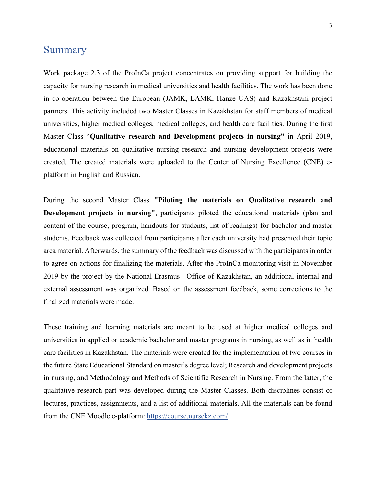## **Summary**

Work package 2.3 of the ProInCa project concentrates on providing support for building the capacity for nursing research in medical universities and health facilities. The work has been done in co-operation between the European (JAMK, LAMK, Hanze UAS) and Kazakhstani project partners. This activity included two Master Classes in Kazakhstan for staff members of medical universities, higher medical colleges, medical colleges, and health care facilities. During the first Master Class "**Qualitative research and Development projects in nursing"** in April 2019, educational materials on qualitative nursing research and nursing development projects were created. The created materials were uploaded to the Center of Nursing Excellence (CNE) eplatform in English and Russian.

During the second Master Class **"Piloting the materials on Qualitative research and Development projects in nursing"**, participants piloted the educational materials (plan and content of the course, program, handouts for students, list of readings) for bachelor and master students. Feedback was collected from participants after each university had presented their topic area material. Afterwards, the summary of the feedback was discussed with the participants in order to agree on actions for finalizing the materials. After the ProInCa monitoring visit in November 2019 by the project by the National Erasmus+ Office of Kazakhstan, an additional internal and external assessment was organized. Based on the assessment feedback, some corrections to the finalized materials were made.

These training and learning materials are meant to be used at higher medical colleges and universities in applied or academic bachelor and master programs in nursing, as well as in health care facilities in Kazakhstan. The materials were created for the implementation of two courses in the future State Educational Standard on master's degree level; Research and development projects in nursing, and Methodology and Methods of Scientific Research in Nursing. From the latter, the qualitative research part was developed during the Master Classes. Both disciplines consist of lectures, practices, assignments, and a list of additional materials. All the materials can be found from the CNE Moodle e-platform: https://course.nursekz.com/.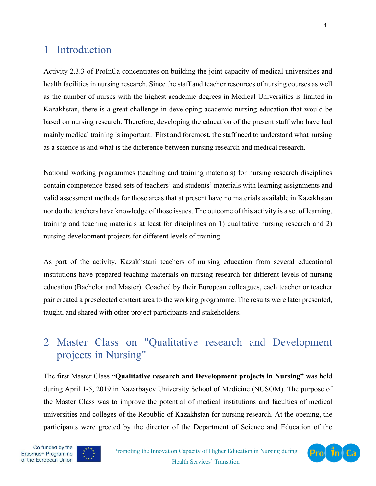# 1 Introduction

Activity 2.3.3 of ProInCa concentrates on building the joint capacity of medical universities and health facilities in nursing research. Since the staff and teacher resources of nursing courses as well as the number of nurses with the highest academic degrees in Medical Universities is limited in Kazakhstan, there is a great challenge in developing academic nursing education that would be based on nursing research. Therefore, developing the education of the present staff who have had mainly medical training is important. First and foremost, the staff need to understand what nursing as a science is and what is the difference between nursing research and medical research.

National working programmes (teaching and training materials) for nursing research disciplines contain competence-based sets of teachers' and students' materials with learning assignments and valid assessment methods for those areas that at present have no materials available in Kazakhstan nor do the teachers have knowledge of those issues. The outcome of this activity is a set of learning, training and teaching materials at least for disciplines on 1) qualitative nursing research and 2) nursing development projects for different levels of training.

As part of the activity, Kazakhstani teachers of nursing education from several educational institutions have prepared teaching materials on nursing research for different levels of nursing education (Bachelor and Master). Coached by their European colleagues, each teacher or teacher pair created a preselected content area to the working programme. The results were later presented, taught, and shared with other project participants and stakeholders.

# 2 Master Class on "Qualitative research and Development projects in Nursing"

The first Master Class **"Qualitative research and Development projects in Nursing"** was held during April 1-5, 2019 in Nazarbayev University School of Medicine (NUSOM). The purpose of the Master Class was to improve the potential of medical institutions and faculties of medical universities and colleges of the Republic of Kazakhstan for nursing research. At the opening, the participants were greeted by the director of the Department of Science and Education of the



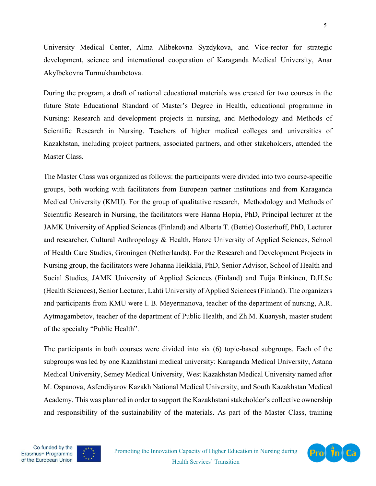University Medical Center, Alma Alibekovna Syzdykova, and Vice-rector for strategic development, science and international cooperation of Karaganda Medical University, Anar Akylbekovna Turmukhambetova.

During the program, a draft of national educational materials was created for two courses in the future State Educational Standard of Master's Degree in Health, educational programme in Nursing: Research and development projects in nursing, and Methodology and Methods of Scientific Research in Nursing. Teachers of higher medical colleges and universities of Kazakhstan, including project partners, associated partners, and other stakeholders, attended the Master Class.

The Master Class was organized as follows: the participants were divided into two course-specific groups, both working with facilitators from European partner institutions and from Karaganda Medical University (KMU). For the group of qualitative research, Methodology and Methods of Scientific Research in Nursing, the facilitators were Hanna Hopia, PhD, Principal lecturer at the JAMK University of Applied Sciences (Finland) and Alberta T. (Bettie) Oosterhoff, PhD, Lecturer and researcher, Cultural Anthropology & Health, Hanze University of Applied Sciences, School of Health Care Studies, Groningen (Netherlands). For the Research and Development Projects in Nursing group, the facilitators were Johanna Heikkilä, PhD, Senior Advisor, School of Health and Social Studies, JAMK University of Applied Sciences (Finland) and Tuija Rinkinen, D.H.Sc (Health Sciences), Senior Lecturer, Lahti University of Applied Sciences (Finland). The organizers and participants from KMU were I. B. Meyermanova, teacher of the department of nursing, A.R. Aytmagambetov, teacher of the department of Public Health, and Zh.M. Kuanysh, master student of the specialty "Public Health".

The participants in both courses were divided into six (6) topic-based subgroups. Each of the subgroups was led by one Kazakhstani medical university: Karaganda Medical University, Astana Medical University, Semey Medical University, West Kazakhstan Medical University named after M. Ospanova, Asfendiyarov Kazakh National Medical University, and South Kazakhstan Medical Academy. This was planned in order to support the Kazakhstani stakeholder's collective ownership and responsibility of the sustainability of the materials. As part of the Master Class, training





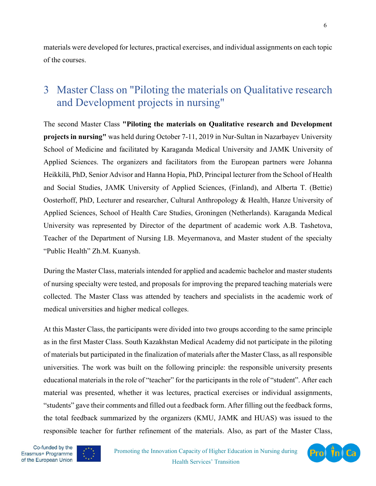materials were developed for lectures, practical exercises, and individual assignments on each topic of the courses.

# 3 Master Class on "Piloting the materials on Qualitative research and Development projects in nursing"

The second Master Class **"Piloting the materials on Qualitative research and Development projects in nursing"** was held during October 7-11, 2019 in Nur-Sultan in Nazarbayev University School of Medicine and facilitated by Karaganda Medical University and JAMK University of Applied Sciences. The organizers and facilitators from the European partners were Johanna Heikkilä, PhD, Senior Advisor and Hanna Hopia, PhD, Principal lecturer from the School of Health and Social Studies, JAMK University of Applied Sciences, (Finland), and Alberta T. (Bettie) Oosterhoff, PhD, Lecturer and researcher, Cultural Anthropology & Health, Hanze University of Applied Sciences, School of Health Care Studies, Groningen (Netherlands). Karaganda Medical University was represented by Director of the department of academic work A.B. Tashetova, Teacher of the Department of Nursing I.B. Meyermanova, and Master student of the specialty "Public Health" Zh.M. Kuanysh.

During the Master Class, materials intended for applied and academic bachelor and master students of nursing specialty were tested, and proposals for improving the prepared teaching materials were collected. The Master Class was attended by teachers and specialists in the academic work of medical universities and higher medical colleges.

At this Master Class, the participants were divided into two groups according to the same principle as in the first Master Class. South Kazakhstan Medical Academy did not participate in the piloting of materials but participated in the finalization of materials after the Master Class, as all responsible universities. The work was built on the following principle: the responsible university presents educational materials in the role of "teacher" for the participants in the role of "student". After each material was presented, whether it was lectures, practical exercises or individual assignments, "students" gave their comments and filled out a feedback form. After filling out the feedback forms, the total feedback summarized by the organizers (KMU, JAMK and HUAS) was issued to the responsible teacher for further refinement of the materials. Also, as part of the Master Class,



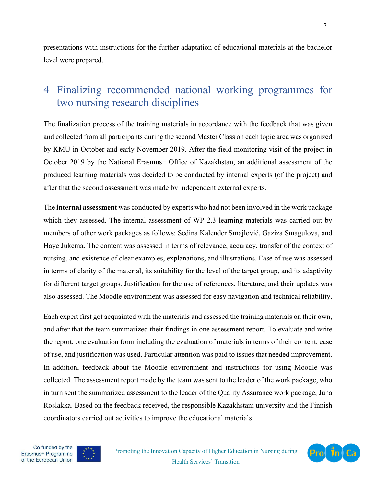presentations with instructions for the further adaptation of educational materials at the bachelor level were prepared.

# 4 Finalizing recommended national working programmes for two nursing research disciplines

The finalization process of the training materials in accordance with the feedback that was given and collected from all participants during the second Master Class on each topic area was organized by KMU in October and early November 2019. After the field monitoring visit of the project in October 2019 by the National Erasmus+ Office of Kazakhstan, an additional assessment of the produced learning materials was decided to be conducted by internal experts (of the project) and after that the second assessment was made by independent external experts.

The **internal assessment** was conducted by experts who had not been involved in the work package which they assessed. The internal assessment of WP 2.3 learning materials was carried out by members of other work packages as follows: Sedina Kalender Smajlović, Gaziza Smagulova, and Haye Jukema. The content was assessed in terms of relevance, accuracy, transfer of the context of nursing, and existence of clear examples, explanations, and illustrations. Ease of use was assessed in terms of clarity of the material, its suitability for the level of the target group, and its adaptivity for different target groups. Justification for the use of references, literature, and their updates was also assessed. The Moodle environment was assessed for easy navigation and technical reliability.

Each expert first got acquainted with the materials and assessed the training materials on their own, and after that the team summarized their findings in one assessment report. To evaluate and write the report, one evaluation form including the evaluation of materials in terms of their content, ease of use, and justification was used. Particular attention was paid to issues that needed improvement. In addition, feedback about the Moodle environment and instructions for using Moodle was collected. The assessment report made by the team was sent to the leader of the work package, who in turn sent the summarized assessment to the leader of the Quality Assurance work package, Juha Roslakka. Based on the feedback received, the responsible Kazakhstani university and the Finnish coordinators carried out activities to improve the educational materials.





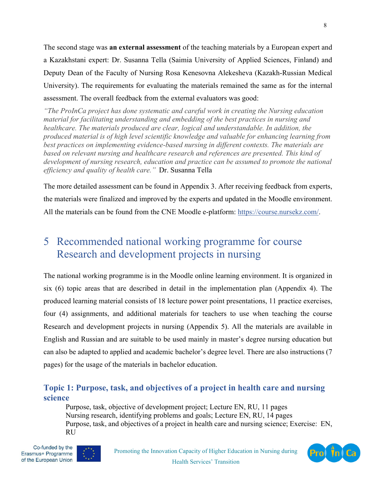The second stage was **an external assessment** of the teaching materials by a European expert and a Kazakhstani expert: Dr. Susanna Tella (Saimia University of Applied Sciences, Finland) and Deputy Dean of the Faculty of Nursing Rosa Kenesovna Alekesheva (Kazakh-Russian Medical University). The requirements for evaluating the materials remained the same as for the internal assessment. The overall feedback from the external evaluators was good:

*"The ProInCa project has done systematic and careful work in creating the Nursing education material for facilitating understanding and embedding of the best practices in nursing and healthcare. The materials produced are clear, logical and understandable. In addition, the produced material is of high level scientific knowledge and valuable for enhancing learning from best practices on implementing evidence-based nursing in different contexts. The materials are based on relevant nursing and healthcare research and references are presented. This kind of development of nursing research, education and practice can be assumed to promote the national efficiency and quality of health care."* Dr. Susanna Tella

The more detailed assessment can be found in Appendix 3. After receiving feedback from experts, the materials were finalized and improved by the experts and updated in the Moodle environment. All the materials can be found from the CNE Moodle e-platform: https://course.nursekz.com/.

# 5 Recommended national working programme for course Research and development projects in nursing

The national working programme is in the Moodle online learning environment. It is organized in six (6) topic areas that are described in detail in the implementation plan (Appendix 4). The produced learning material consists of 18 lecture power point presentations, 11 practice exercises, four (4) assignments, and additional materials for teachers to use when teaching the course Research and development projects in nursing (Appendix 5). All the materials are available in English and Russian and are suitable to be used mainly in master's degree nursing education but can also be adapted to applied and academic bachelor's degree level. There are also instructions (7 pages) for the usage of the materials in bachelor education.

## **Topic 1: Purpose, task, and objectives of a project in health care and nursing science**

Purpose, task, objective of development project; Lecture EN, RU, 11 pages Nursing research, identifying problems and goals; Lecture EN, RU, 14 pages Purpose, task, and objectives of a project in health care and nursing science; Exercise: EN, RU



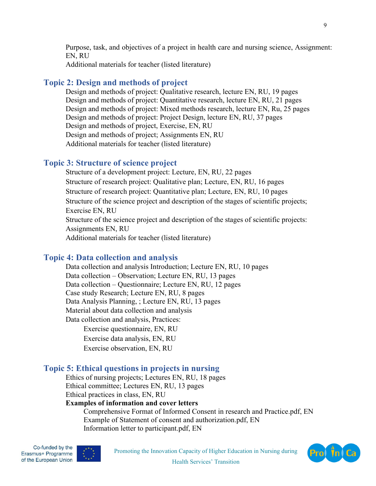Purpose, task, and objectives of a project in health care and nursing science, Assignment: EN, RU Additional materials for teacher (listed literature)

## **Topic 2: Design and methods of project**

Design and methods of project: Qualitative research, lecture EN, RU, 19 pages Design and methods of project: Quantitative research, lecture EN, RU, 21 pages Design and methods of project: Mixed methods research, lecture EN, Ru, 25 pages Design and methods of project: Project Design, lecture EN, RU, 37 pages Design and methods of project, Exercise, EN, RU Design and methods of project; Assignments EN, RU Additional materials for teacher (listed literature)

## **Topic 3: Structure of science project**

Structure of a development project: Lecture, EN, RU, 22 pages Structure of research project: Qualitative plan; Lecture, EN, RU, 16 pages Structure of research project: Quantitative plan; Lecture, EN, RU, 10 pages Structure of the science project and description of the stages of scientific projects; Exercise EN, RU Structure of the science project and description of the stages of scientific projects: Assignments EN, RU Additional materials for teacher (listed literature)

## **Topic 4: Data collection and analysis**

Data collection and analysis Introduction; Lecture EN, RU, 10 pages Data collection – Observation; Lecture EN, RU, 13 pages Data collection – Questionnaire; Lecture EN, RU, 12 pages Case study Research; Lecture EN, RU, 8 pages Data Analysis Planning, ; Lecture EN, RU, 13 pages Material about data collection and analysis Data collection and analysis, Practices: Exercise questionnaire, EN, RU Exercise data analysis, EN, RU Exercise observation, EN, RU

## **Topic 5: Ethical questions in projects in nursing**

Ethics of nursing projects; Lectures EN, RU, 18 pages Ethical committee; Lectures EN, RU, 13 pages Ethical practices in class, EN, RU

### **Examples of information and cover letters**

Comprehensive Format of Informed Consent in research and Practice.pdf, EN Example of Statement of consent and authorization.pdf, EN Information letter to participant.pdf, EN



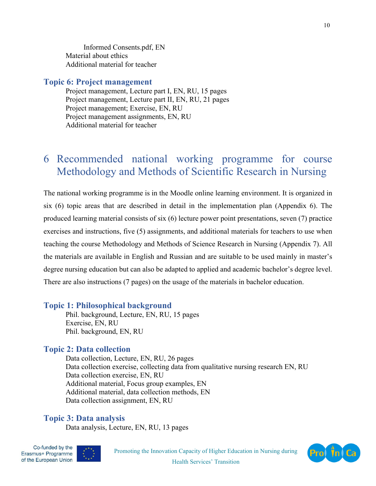Informed Consents.pdf, EN Material about ethics Additional material for teacher

### **Topic 6: Project management**

Project management, Lecture part I, EN, RU, 15 pages Project management, Lecture part II, EN, RU, 21 pages Project management; Exercise, EN, RU Project management assignments, EN, RU Additional material for teacher

# 6 Recommended national working programme for course Methodology and Methods of Scientific Research in Nursing

The national working programme is in the Moodle online learning environment. It is organized in six (6) topic areas that are described in detail in the implementation plan (Appendix 6). The produced learning material consists of six (6) lecture power point presentations, seven (7) practice exercises and instructions, five (5) assignments, and additional materials for teachers to use when teaching the course Methodology and Methods of Science Research in Nursing (Appendix 7). All the materials are available in English and Russian and are suitable to be used mainly in master's degree nursing education but can also be adapted to applied and academic bachelor's degree level. There are also instructions (7 pages) on the usage of the materials in bachelor education.

### **Topic 1: Philosophical background**

Phil. background, Lecture, EN, RU, 15 pages Exercise, EN, RU Phil. background, EN, RU

### **Topic 2: Data collection**

Data collection, Lecture, EN, RU, 26 pages Data collection exercise, collecting data from qualitative nursing research EN, RU Data collection exercise, EN, RU Additional material, Focus group examples, EN Additional material, data collection methods, EN Data collection assignment, EN, RU

## **Topic 3: Data analysis**

Data analysis, Lecture, EN, RU, 13 pages



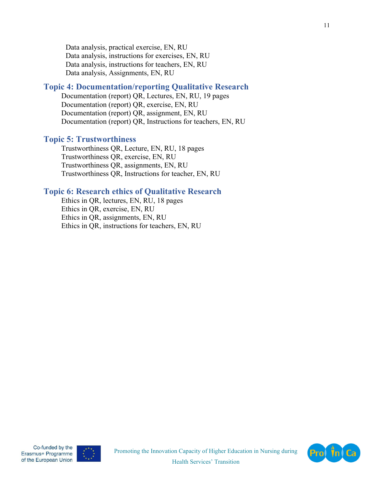Data analysis, practical exercise, EN, RU Data analysis, instructions for exercises, EN, RU Data analysis, instructions for teachers, EN, RU Data analysis, Assignments, EN, RU

### **Topic 4: Documentation/reporting Qualitative Research**

Documentation (report) QR, Lectures, EN, RU, 19 pages Documentation (report) QR, exercise, EN, RU Documentation (report) QR, assignment, EN, RU Documentation (report) QR, Instructions for teachers, EN, RU

### **Topic 5: Trustworthiness**

Trustworthiness QR, Lecture, EN, RU, 18 pages Trustworthiness QR, exercise, EN, RU Trustworthiness QR, assignments, EN, RU Trustworthiness QR, Instructions for teacher, EN, RU

#### **Topic 6: Research ethics of Qualitative Research**

Ethics in QR, lectures, EN, RU, 18 pages Ethics in QR, exercise, EN, RU Ethics in QR, assignments, EN, RU Ethics in QR, instructions for teachers, EN, RU



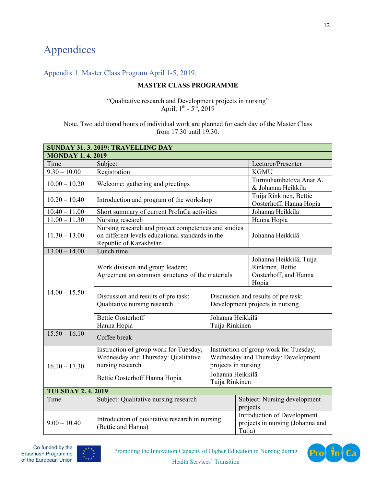# Appendices

### Appendix 1. Master Class Program April 1-5, 2019.

### **MASTER CLASS PROGRAMME**

"Qualitative research and Development projects in nursing" April,  $1^{th}$  -  $5^{th}$ , 2019

Note. Two additional hours of individual work are planned for each day of the Master Class from 17.30 until 19.30.

| SUNDAY 31. 3. 2019: TRAVELLING DAY |                                                                                                                                    |                                                                                                      |                                                                               |  |
|------------------------------------|------------------------------------------------------------------------------------------------------------------------------------|------------------------------------------------------------------------------------------------------|-------------------------------------------------------------------------------|--|
| <b>MONDAY 1.4.2019</b>             |                                                                                                                                    |                                                                                                      |                                                                               |  |
| Time                               | Subject                                                                                                                            |                                                                                                      | Lecturer/Presenter                                                            |  |
| $9.30 - 10.00$                     | Registration                                                                                                                       |                                                                                                      | <b>KGMU</b>                                                                   |  |
| $10.00 - 10.20$                    | Welcome: gathering and greetings                                                                                                   |                                                                                                      | Turmuhambetova Anar A.<br>& Johanna Heikkilä                                  |  |
| $10.20 - 10.40$                    | Introduction and program of the workshop                                                                                           |                                                                                                      | Tuija Rinkinen, Bettie<br>Oosterhoff, Hanna Hopia                             |  |
| $10.40 - 11.00$                    | Short summary of current ProInCa activities                                                                                        |                                                                                                      | Johanna Heikkilä                                                              |  |
| $11.00 - 11.30$                    | Nursing research                                                                                                                   |                                                                                                      | Hanna Hopia                                                                   |  |
| $11.30 - 13.00$                    | Nursing research and project competences and studies<br>on different levels educational standards in the<br>Republic of Kazakhstan |                                                                                                      | Johanna Heikkilä                                                              |  |
| $13.00 - 14.00$                    | Lunch time                                                                                                                         |                                                                                                      |                                                                               |  |
|                                    | Work division and group leaders;<br>Agreement on common structures of the materials                                                |                                                                                                      | Johanna Heikkilä, Tuija<br>Rinkinen, Bettie<br>Oosterhoff, and Hanna<br>Hopia |  |
| $14.00 - 15.50$                    | Discussion and results of pre task:<br>Qualitative nursing research                                                                |                                                                                                      | Discussion and results of pre task:<br>Development projects in nursing        |  |
|                                    | <b>Bettie Oosterhoff</b><br>Hanna Hopia                                                                                            | Johanna Heikkilä<br>Tuija Rinkinen                                                                   |                                                                               |  |
| $15.50 - 16.10$                    | Coffee break                                                                                                                       |                                                                                                      |                                                                               |  |
| $16.10 - 17.30$                    | Instruction of group work for Tuesday,<br>Wednesday and Thursday: Qualitative<br>nursing research                                  | Instruction of group work for Tuesday,<br>Wednesday and Thursday: Development<br>projects in nursing |                                                                               |  |
|                                    | Bettie Oosterhoff Hanna Hopia                                                                                                      | Johanna Heikkilä<br>Tuija Rinkinen                                                                   |                                                                               |  |
| <b>TUESDAY 2.4.2019</b>            |                                                                                                                                    |                                                                                                      |                                                                               |  |
| Time                               | Subject: Qualitative nursing research                                                                                              |                                                                                                      | Subject: Nursing development<br>projects                                      |  |
| $9.00 - 10.40$                     | Introduction of qualitative research in nursing<br>(Bettie and Hanna)                                                              |                                                                                                      | Introduction of Development<br>projects in nursing (Johanna and<br>Tuija)     |  |



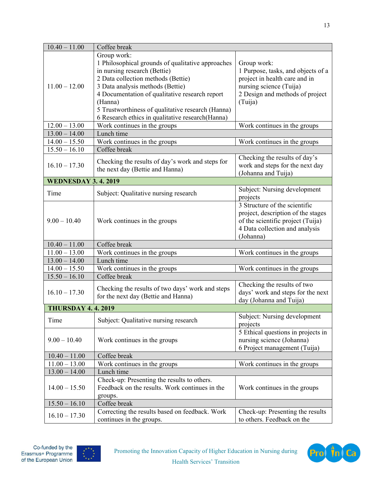| $10.40 - 11.00$           | Coffee break                                                                                                                                                                                                                                                                                                                                     |                                                                                                                                                             |  |
|---------------------------|--------------------------------------------------------------------------------------------------------------------------------------------------------------------------------------------------------------------------------------------------------------------------------------------------------------------------------------------------|-------------------------------------------------------------------------------------------------------------------------------------------------------------|--|
| $11.00 - 12.00$           | Group work:<br>1 Philosophical grounds of qualitative approaches<br>in nursing research (Bettie)<br>2 Data collection methods (Bettie)<br>3 Data analysis methods (Bettie)<br>4 Documentation of qualitative research report<br>(Hanna)<br>5 Trustworthiness of qualitative research (Hanna)<br>6 Research ethics in qualitative research(Hanna) | Group work:<br>1 Purpose, tasks, and objects of a<br>project in health care and in<br>nursing science (Tuija)<br>2 Design and methods of project<br>(Tuija) |  |
| $12.00 - 13.00$           | Work continues in the groups                                                                                                                                                                                                                                                                                                                     | Work continues in the groups                                                                                                                                |  |
| $13.00 - 14.00$           | Lunch time                                                                                                                                                                                                                                                                                                                                       |                                                                                                                                                             |  |
| $14.00 - 15.50$           | Work continues in the groups                                                                                                                                                                                                                                                                                                                     | Work continues in the groups                                                                                                                                |  |
| $15.50 - 16.10$           | Coffee break                                                                                                                                                                                                                                                                                                                                     |                                                                                                                                                             |  |
| $16.10 - 17.30$           | Checking the results of day's work and steps for<br>the next day (Bettie and Hanna)                                                                                                                                                                                                                                                              | Checking the results of day's<br>work and steps for the next day<br>(Johanna and Tuija)                                                                     |  |
| <b>WEDNESDAY 3.4.2019</b> |                                                                                                                                                                                                                                                                                                                                                  |                                                                                                                                                             |  |
| Time                      | Subject: Qualitative nursing research                                                                                                                                                                                                                                                                                                            | Subject: Nursing development<br>projects                                                                                                                    |  |
| $9.00 - 10.40$            | Work continues in the groups                                                                                                                                                                                                                                                                                                                     | 3 Structure of the scientific<br>project, description of the stages<br>of the scientific project (Tuija)<br>4 Data collection and analysis<br>(Johanna)     |  |
| $10.40 - 11.00$           | Coffee break                                                                                                                                                                                                                                                                                                                                     |                                                                                                                                                             |  |
| $11.00 - 13.00$           | Work continues in the groups                                                                                                                                                                                                                                                                                                                     | Work continues in the groups                                                                                                                                |  |
| $13.00 - 14.00$           | Lunch time                                                                                                                                                                                                                                                                                                                                       |                                                                                                                                                             |  |
| $14.00 - 15.50$           | Work continues in the groups                                                                                                                                                                                                                                                                                                                     | Work continues in the groups                                                                                                                                |  |
| $15.50 - 16.10$           | Coffee break                                                                                                                                                                                                                                                                                                                                     |                                                                                                                                                             |  |
| $16.10 - 17.30$           | Checking the results of two days' work and steps<br>for the next day (Bettie and Hanna)                                                                                                                                                                                                                                                          | Checking the results of two<br>days' work and steps for the next<br>day (Johanna and Tuija)                                                                 |  |
| <b>THURSDAY 4.4.2019</b>  |                                                                                                                                                                                                                                                                                                                                                  |                                                                                                                                                             |  |
| Time                      | Subject: Qualitative nursing research                                                                                                                                                                                                                                                                                                            | Subject: Nursing development<br>projects                                                                                                                    |  |
| $9.00 - 10.40$            | Work continues in the groups                                                                                                                                                                                                                                                                                                                     | 5 Ethical questions in projects in<br>nursing science (Johanna)<br>6 Project management (Tuija)                                                             |  |
| $10.40 - 11.00$           | Coffee break                                                                                                                                                                                                                                                                                                                                     |                                                                                                                                                             |  |
| $11.00 - 13.00$           | Work continues in the groups<br>Work continues in the groups                                                                                                                                                                                                                                                                                     |                                                                                                                                                             |  |
| $13.00 - 14.00$           | Lunch time                                                                                                                                                                                                                                                                                                                                       |                                                                                                                                                             |  |
| $14.00 - 15.50$           | Check-up: Presenting the results to others.<br>Feedback on the results. Work continues in the<br>groups.                                                                                                                                                                                                                                         | Work continues in the groups                                                                                                                                |  |
| $15.50 - 16.10$           | Coffee break                                                                                                                                                                                                                                                                                                                                     |                                                                                                                                                             |  |
| $16.10 - 17.30$           | Correcting the results based on feedback. Work<br>continues in the groups.                                                                                                                                                                                                                                                                       | Check-up: Presenting the results<br>to others. Feedback on the                                                                                              |  |



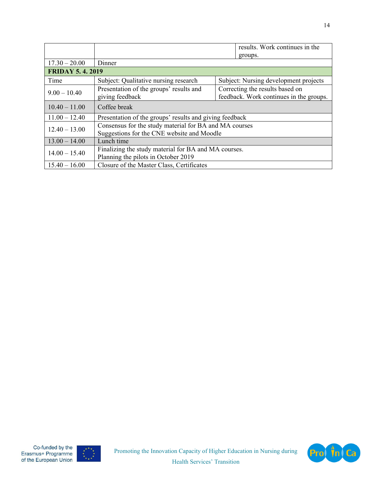|                        |                                                         |  | results. Work continues in the          |
|------------------------|---------------------------------------------------------|--|-----------------------------------------|
|                        |                                                         |  | groups.                                 |
| $17.30 - 20.00$        | Dinner                                                  |  |                                         |
| <b>FRIDAY 5.4.2019</b> |                                                         |  |                                         |
| Time                   | Subject: Qualitative nursing research                   |  | Subject: Nursing development projects   |
| $9.00 - 10.40$         | Presentation of the groups' results and                 |  | Correcting the results based on         |
|                        | giving feedback                                         |  | feedback. Work continues in the groups. |
| $10.40 - 11.00$        | Coffee break                                            |  |                                         |
| $11.00 - 12.40$        | Presentation of the groups' results and giving feedback |  |                                         |
| $12.40 - 13.00$        | Consensus for the study material for BA and MA courses  |  |                                         |
|                        | Suggestions for the CNE website and Moodle              |  |                                         |
| $13.00 - 14.00$        | Lunch time                                              |  |                                         |
| $14.00 - 15.40$        | Finalizing the study material for BA and MA courses.    |  |                                         |
|                        | Planning the pilots in October 2019                     |  |                                         |
| $15.40 - 16.00$        | Closure of the Master Class, Certificates               |  |                                         |



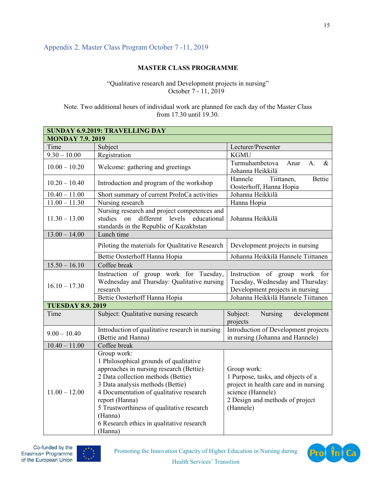### Appendix 2. Master Class Program October 7 -11, 2019

### **MASTER CLASS PROGRAMME**

"Qualitative research and Development projects in nursing" October 7 - 11, 2019

Note. Two additional hours of individual work are planned for each day of the Master Class from 17.30 until 19.30.

| <b>SUNDAY 6.9.2019: TRAVELLING DAY</b> |                                                                                                                                                                                                                                                                                                                                                         |                                                                                                                                                                 |  |  |
|----------------------------------------|---------------------------------------------------------------------------------------------------------------------------------------------------------------------------------------------------------------------------------------------------------------------------------------------------------------------------------------------------------|-----------------------------------------------------------------------------------------------------------------------------------------------------------------|--|--|
| <b>MONDAY 7.9.2019</b>                 |                                                                                                                                                                                                                                                                                                                                                         |                                                                                                                                                                 |  |  |
| Time                                   | Subject                                                                                                                                                                                                                                                                                                                                                 | Lecturer/Presenter                                                                                                                                              |  |  |
| $9.30 - 10.00$                         | Registration                                                                                                                                                                                                                                                                                                                                            | <b>KGMU</b>                                                                                                                                                     |  |  |
| $10.00 - 10.20$                        | Welcome: gathering and greetings                                                                                                                                                                                                                                                                                                                        | Turmuhambetova<br>$\&$<br>Anar<br>A.<br>Johanna Heikkilä                                                                                                        |  |  |
| $10.20 - 10.40$                        | Introduction and program of the workshop                                                                                                                                                                                                                                                                                                                | Hannele<br>Tiittanen,<br>Bettie<br>Oosterhoff, Hanna Hopia                                                                                                      |  |  |
| $10.40 - 11.00$                        | Short summary of current ProInCa activities                                                                                                                                                                                                                                                                                                             | Johanna Heikkilä                                                                                                                                                |  |  |
| $11.00 - 11.30$                        | Nursing research                                                                                                                                                                                                                                                                                                                                        | Hanna Hopia                                                                                                                                                     |  |  |
| $11.30 - 13.00$                        | Nursing research and project competences and<br>different levels<br>educational<br>studies<br>on<br>standards in the Republic of Kazakhstan                                                                                                                                                                                                             | Johanna Heikkilä                                                                                                                                                |  |  |
| $13.00 - 14.00$                        | Lunch time                                                                                                                                                                                                                                                                                                                                              |                                                                                                                                                                 |  |  |
|                                        | Piloting the materials for Qualitative Research                                                                                                                                                                                                                                                                                                         | Development projects in nursing                                                                                                                                 |  |  |
|                                        | Bettie Oosterhoff Hanna Hopia                                                                                                                                                                                                                                                                                                                           | Johanna Heikkilä Hannele Tiittanen                                                                                                                              |  |  |
| $15.50 - 16.10$                        | Coffee break                                                                                                                                                                                                                                                                                                                                            |                                                                                                                                                                 |  |  |
| $16.10 - 17.30$                        | Instruction of group work for Tuesday,<br>Instruction of group work for<br>Wednesday and Thursday: Qualitative nursing<br>Tuesday, Wednesday and Thursday:<br>Development projects in nursing<br>research                                                                                                                                               |                                                                                                                                                                 |  |  |
|                                        | Johanna Heikkilä Hannele Tiittanen<br>Bettie Oosterhoff Hanna Hopia                                                                                                                                                                                                                                                                                     |                                                                                                                                                                 |  |  |
| <b>TUESDAY 8.9. 2019</b>               |                                                                                                                                                                                                                                                                                                                                                         |                                                                                                                                                                 |  |  |
| Time                                   | Subject: Qualitative nursing research                                                                                                                                                                                                                                                                                                                   | Subject:<br>Nursing<br>development<br>projects                                                                                                                  |  |  |
| $9.00 - 10.40$                         | Introduction of qualitative research in nursing<br>(Bettie and Hanna)                                                                                                                                                                                                                                                                                   | Introduction of Development projects<br>in nursing (Johanna and Hannele)                                                                                        |  |  |
| $10.40 - 11.00$                        | Coffee break                                                                                                                                                                                                                                                                                                                                            |                                                                                                                                                                 |  |  |
| $11.00 - 12.00$                        | Group work:<br>1 Philosophical grounds of qualitative<br>approaches in nursing research (Bettie)<br>2 Data collection methods (Bettie)<br>3 Data analysis methods (Bettie)<br>4 Documentation of qualitative research<br>report (Hanna)<br>5 Trustworthiness of qualitative research<br>(Hanna)<br>6 Research ethics in qualitative research<br>(Hanna) | Group work:<br>1 Purpose, tasks, and objects of a<br>project in health care and in nursing<br>science (Hannele)<br>2 Design and methods of project<br>(Hannele) |  |  |



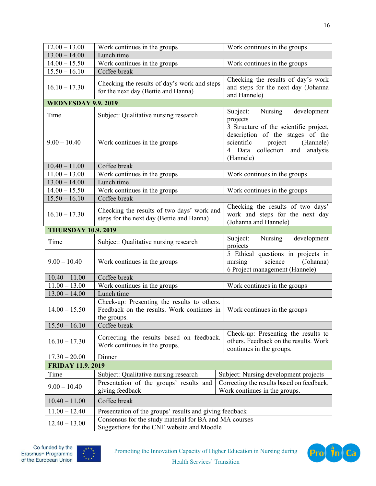| $12.00 - 13.00$           | Work continues in the groups<br>Work continues in the groups                                                                                                                           |                                                                                                                                                              |  |
|---------------------------|----------------------------------------------------------------------------------------------------------------------------------------------------------------------------------------|--------------------------------------------------------------------------------------------------------------------------------------------------------------|--|
| $13.00 - 14.00$           | Lunch time                                                                                                                                                                             |                                                                                                                                                              |  |
| $14.00 - 15.50$           | Work continues in the groups<br>Work continues in the groups                                                                                                                           |                                                                                                                                                              |  |
| $15.50 - 16.10$           | Coffee break                                                                                                                                                                           |                                                                                                                                                              |  |
| $16.10 - 17.30$           | Checking the results of day's work and steps<br>for the next day (Bettie and Hanna)                                                                                                    | Checking the results of day's work<br>and steps for the next day (Johanna<br>and Hannele)                                                                    |  |
| <b>WEDNESDAY 9.9.2019</b> |                                                                                                                                                                                        |                                                                                                                                                              |  |
| Time                      | Subject: Qualitative nursing research                                                                                                                                                  | Nursing<br>development<br>Subject:<br>projects                                                                                                               |  |
| $9.00 - 10.40$            | Work continues in the groups                                                                                                                                                           | 3 Structure of the scientific project,<br>description of the stages of the<br>scientific project<br>(Hannele)<br>4 Data collection and analysis<br>(Hannele) |  |
| $10.40 - 11.00$           | Coffee break                                                                                                                                                                           |                                                                                                                                                              |  |
| $11.00 - 13.00$           | Work continues in the groups                                                                                                                                                           | Work continues in the groups                                                                                                                                 |  |
| $13.00 - 14.00$           | Lunch time                                                                                                                                                                             |                                                                                                                                                              |  |
| $14.00 - 15.50$           | Work continues in the groups                                                                                                                                                           | Work continues in the groups                                                                                                                                 |  |
| $15.50 - 16.10$           | Coffee break                                                                                                                                                                           |                                                                                                                                                              |  |
| $16.10 - 17.30$           | Checking the results of two days' work and<br>steps for the next day (Bettie and Hanna)                                                                                                | Checking the results of two days'<br>work and steps for the next day<br>(Johanna and Hannele)                                                                |  |
| <b>THURSDAY 10.9.2019</b> |                                                                                                                                                                                        |                                                                                                                                                              |  |
| Time                      | Subject: Qualitative nursing research                                                                                                                                                  | Subject:<br>Nursing<br>development<br>projects                                                                                                               |  |
| $9.00 - 10.40$            | Work continues in the groups                                                                                                                                                           | 5 Ethical questions in projects in<br>science<br>(Johanna)<br>nursing<br>6 Project management (Hannele)                                                      |  |
| $10.40 - 11.00$           | Coffee break                                                                                                                                                                           |                                                                                                                                                              |  |
| $11.00 - 13.00$           | Work continues in the groups<br>Work continues in the groups                                                                                                                           |                                                                                                                                                              |  |
| $13.00 - 14.00$           | Lunch time                                                                                                                                                                             |                                                                                                                                                              |  |
| $14.00 - 15.50$           | Check-up: Presenting the results to others.<br>Feedback on the results. Work continues in<br>Work continues in the groups<br>the groups.                                               |                                                                                                                                                              |  |
| $15.50 - 16.10$           | Coffee break                                                                                                                                                                           |                                                                                                                                                              |  |
| $16.10 - 17.30$           | Check-up: Presenting the results to<br>Correcting the results based on feedback.<br>others. Feedback on the results. Work<br>Work continues in the groups.<br>continues in the groups. |                                                                                                                                                              |  |
| $17.30 - 20.00$           | Dinner                                                                                                                                                                                 |                                                                                                                                                              |  |
|                           | <b>FRIDAY 11.9. 2019</b>                                                                                                                                                               |                                                                                                                                                              |  |
| Time                      | Subject: Qualitative nursing research<br>Subject: Nursing development projects                                                                                                         |                                                                                                                                                              |  |
| $9.00 - 10.40$            | Presentation of the groups' results and<br>Correcting the results based on feedback.<br>Work continues in the groups.<br>giving feedback                                               |                                                                                                                                                              |  |
| $10.40 - 11.00$           | Coffee break                                                                                                                                                                           |                                                                                                                                                              |  |
| $11.00 - 12.40$           | Presentation of the groups' results and giving feedback                                                                                                                                |                                                                                                                                                              |  |
| $12.40 - 13.00$           | Consensus for the study material for BA and MA courses<br>Suggestions for the CNE website and Moodle                                                                                   |                                                                                                                                                              |  |



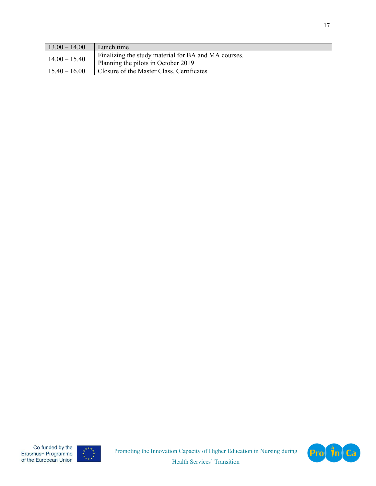| $13.00 - 14.00$ | Lunch time                                                                                  |
|-----------------|---------------------------------------------------------------------------------------------|
| $14.00 - 15.40$ | Finalizing the study material for BA and MA courses.<br>Planning the pilots in October 2019 |
| $15.40 - 16.00$ | Closure of the Master Class, Certificates                                                   |



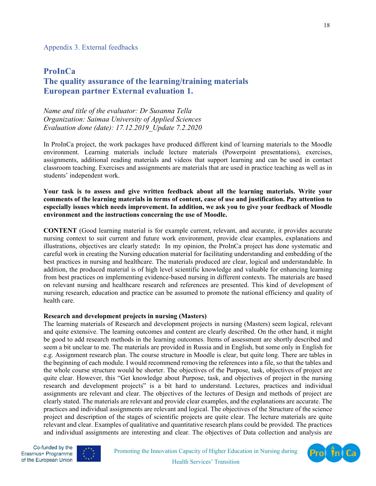## **ProInCa The quality assurance of the learning/training materials European partner External evaluation 1.**

*Name and title of the evaluator: Dr Susanna Tella Organization: Saimaa University of Applied Sciences Evaluation done (date): 17.12.2019\_Update 7.2.2020* 

In ProInCa project, the work packages have produced different kind of learning materials to the Moodle environment. Learning materials include lecture materials (Powerpoint presentations), exercises, assignments, additional reading materials and videos that support learning and can be used in contact classroom teaching. Exercises and assignments are materials that are used in practice teaching as well as in students' independent work.

**Your task is to assess and give written feedback about all the learning materials. Write your comments of the learning materials in terms of content, ease of use and justification. Pay attention to especially issues which needs improvement. In addition, we ask you to give your feedback of Moodle environment and the instructions concerning the use of Moodle.** 

**CONTENT** (Good learning material is for example current, relevant, and accurate, it provides accurate nursing context to suit current and future work environment, provide clear examples, explanations and illustrations, objectives are clearly stated)**:** In my opinion, the ProInCa project has done systematic and careful work in creating the Nursing education material for facilitating understanding and embedding of the best practices in nursing and healthcare. The materials produced are clear, logical and understandable. In addition, the produced material is of high level scientific knowledge and valuable for enhancing learning from best practices on implementing evidence-based nursing in different contexts. The materials are based on relevant nursing and healthcare research and references are presented. This kind of development of nursing research, education and practice can be assumed to promote the national efficiency and quality of health care.

#### **Research and development projects in nursing (Masters)**

The learning materials of Research and development projects in nursing (Masters) seem logical, relevant and quite extensive. The learning outcomes and content are clearly described. On the other hand, it might be good to add research methods in the learning outcomes. Items of assessment are shortly described and seem a bit unclear to me. The materials are provided in Russia and in English, but some only in English for e.g. Assignment research plan. The course structure in Moodle is clear, but quite long. There are tables in the beginning of each module. I would recommend removing the references into a file, so that the tables and the whole course structure would be shorter. The objectives of the Purpose, task, objectives of project are quite clear. However, this "Get knowledge about Purpose, task, and objectives of project in the nursing research and development projects" is a bit hard to understand. Lectures, practices and individual assignments are relevant and clear. The objectives of the lectures of Design and methods of project are clearly stated. The materials are relevant and provide clear examples, and the explanations are accurate. The practices and individual assignments are relevant and logical. The objectives of the Structure of the science project and description of the stages of scientific projects are quite clear. The lecture materials are quite relevant and clear. Examples of qualitative and quantitative research plans could be provided. The practices and individual assignments are interesting and clear. The objectives of Data collection and analysis are





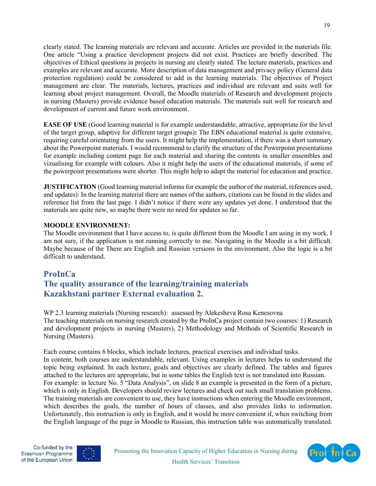clearly stated. The learning materials are relevant and accurate. Articles are provided in the materials file. One article "Using a practice development projects did not exist. Practices are briefly described. The objectives of Ethical questions in projects in nursing are clearly stated. The lecture materials, practices and examples are relevant and accurate. More description of data management and privacy policy (General data protection regulation) could be considered to add in the learning materials. The objectives of Project management are clear. The materials, lectures, practices and individual are relevant and suits well for learning about project management. Overall, the Moodle materials of Research and development projects in nursing (Masters) provide evidence based education materials. The materials suit well for research and development of current and future work environment.

**EASE OF USE** (Good learning material is for example understandable, attractive, appropriate for the level of the target group, adaptive for different target groups)**:** The EBN educational material is quite extensive, requiring careful orientating from the users. It might help the implementation, if there was a short summary about the Powerpoint materials. I would recommend to clarify the structure of the Powerpoint presentations for example including content page for each material and sharing the contents in smaller ensembles and vizualising for example with colours. Also it might help the users of the educational materials, if some of the powerpoint presentations were shorter. This might help to adapt the material for education and practice.

**JUSTIFICATION** (Good learning material informs for example the author of the material, references used, and updates): In the learning material there are names of the authors, citations can be found in the slides and reference list from the last page. I didn't notice if there were any updates yet done. I understood that the materials are quite new, so maybe there were no need for updates so far.

#### **MOODLE ENVIRONMENT:**

The Moodle environment that I have access to, is quite different from the Moodle I am using in my work. I am not sure, if the application is not running correctly to me. Navigating in the Moodle is a bit difficult. Maybe because of the There are English and Russian versions in the environment. Also the logic is a bit difficult to understand.

## **ProInCa The quality assurance of the learning/training materials Kazakhstani partner External evaluation 2.**

WP 2.3 learning materials (Nursing research): assessed by Alekesheva Rosa Kenesovna The teaching materials on nursing research created by the ProInCa project contain two courses: 1) Research and development projects in nursing (Masters), 2) Methodology and Methods of Scientific Research in Nursing (Masters).

Each course contains 6 blocks, which include lectures, practical exercises and individual tasks. In content, both courses are understandable, relevant. Using examples in lectures helps to understand the topic being explained. In each lecture, goals and objectives are clearly defined. The tables and figures attached to the lectures are appropriate, but in some tables the English text is not translated into Russian. For example: in lecture No. 5 "Data Analysis", on slide 8 an example is presented in the form of a picture, which is only in English. Developers should review lectures and check out such small translation problems. The training materials are convenient to use, they have instructions when entering the Moodle environment, which describes the goals, the number of hours of classes, and also provides links to information. Unfortunately, this instruction is only in English, and it would be more convenient if, when switching from the English language of the page in Moodle to Russian, this instruction table was automatically translated.



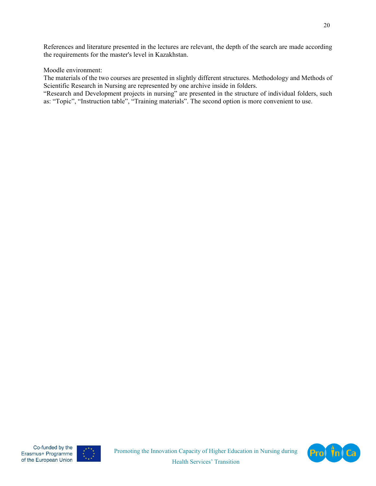References and literature presented in the lectures are relevant, the depth of the search are made according the requirements for the master's level in Kazakhstan.

#### Moodle environment:

The materials of the two courses are presented in slightly different structures. Methodology and Methods of Scientific Research in Nursing are represented by one archive inside in folders.

"Research and Development projects in nursing" are presented in the structure of individual folders, such as: "Topic", "Instruction table", "Training materials". The second option is more convenient to use.



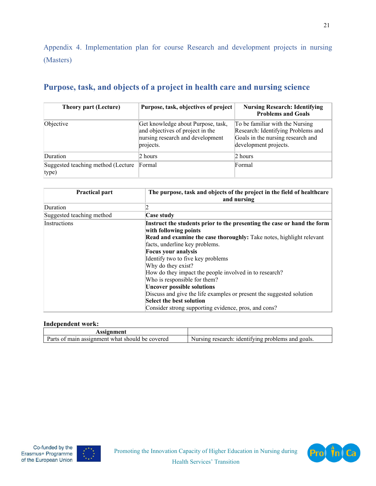Appendix 4. Implementation plan for course Research and development projects in nursing (Masters)

# **Purpose, task, and objects of a project in health care and nursing science**

| <b>Theory part (Lecture)</b>                | Purpose, task, objectives of project                                                                                    | <b>Nursing Research: Identifying</b><br><b>Problems and Goals</b>                                                                   |
|---------------------------------------------|-------------------------------------------------------------------------------------------------------------------------|-------------------------------------------------------------------------------------------------------------------------------------|
| Objective                                   | Get knowledge about Purpose, task,<br>and objectives of project in the<br>nursing research and development<br>projects. | To be familiar with the Nursing<br>Research: Identifying Problems and<br>Goals in the nursing research and<br>development projects. |
| Duration                                    | 2 hours                                                                                                                 | $2$ hours                                                                                                                           |
| Suggested teaching method (Lecture<br>type) | Formal                                                                                                                  | Formal                                                                                                                              |

| <b>Practical part</b>     | The purpose, task and objects of the project in the field of healthcare<br>and nursing           |
|---------------------------|--------------------------------------------------------------------------------------------------|
| Duration                  |                                                                                                  |
| Suggested teaching method | Case study                                                                                       |
| Instructions              | Instruct the students prior to the presenting the case or hand the form<br>with following points |
|                           | <b>Read and examine the case thoroughly:</b> Take notes, highlight relevant                      |
|                           | facts, underline key problems.                                                                   |
|                           | <b>Focus your analysis</b>                                                                       |
|                           | Identify two to five key problems                                                                |
|                           | Why do they exist?                                                                               |
|                           | How do they impact the people involved in to research?                                           |
|                           | Who is responsible for them?                                                                     |
|                           | <b>Uncover possible solutions</b>                                                                |
|                           | Discuss and give the life examples or present the suggested solution                             |
|                           | Select the best solution                                                                         |
|                           | Consider strong supporting evidence, pros, and cons?                                             |

#### **Independent work:**

| Assignment                                                                 |                                                                               |
|----------------------------------------------------------------------------|-------------------------------------------------------------------------------|
| Parts<br>be covered<br>what<br>ാnment w<br>ი1<br>-should<br>assign<br>main | goals.<br>nroblems<br>Nursing.<br>1dentitying<br>:search<br>and<br>$r \infty$ |



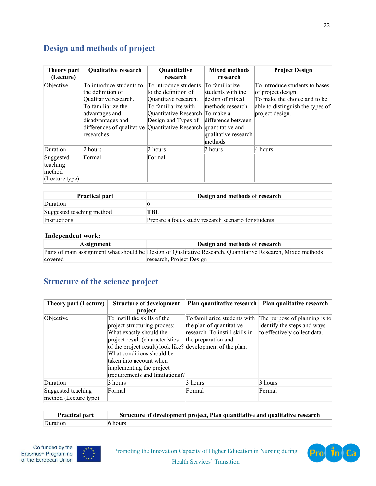# **Design and methods of project**

| Theory part<br>(Lecture)                                | <b>Qualitative research</b>                                                                                                                                                                                            | Quantitative<br>research                                                                                                                               | <b>Mixed methods</b><br>research                                                                                                     | <b>Project Design</b>                                                                                                                       |
|---------------------------------------------------------|------------------------------------------------------------------------------------------------------------------------------------------------------------------------------------------------------------------------|--------------------------------------------------------------------------------------------------------------------------------------------------------|--------------------------------------------------------------------------------------------------------------------------------------|---------------------------------------------------------------------------------------------------------------------------------------------|
| Objective                                               | To introduce students to<br>the definition of<br>Qualitative research.<br>To familiarize the<br>advantages and<br>disadvantages and<br>differences of qualitative Quantitative Research quantitative and<br>researches | To introduce students<br>to the definition of<br>Quantitave research.<br>To familiarize with<br>Quantitative Research To make a<br>Design and Types of | To familiarize<br>students with the<br>design of mixed<br>methods research.<br>difference between<br>qualitative research<br>methods | To introduce students to bases<br>of project design.<br>To make the choice and to be<br>able to distinguish the types of<br>project design. |
| Duration                                                | $2$ hours                                                                                                                                                                                                              | 2 hours                                                                                                                                                | 2 hours                                                                                                                              | 4 hours                                                                                                                                     |
| Suggested<br>teaching<br>method<br>$(L$ ecture type $)$ | Formal                                                                                                                                                                                                                 | Formal                                                                                                                                                 |                                                                                                                                      |                                                                                                                                             |

| <b>Practical part</b>     | Design and methods of research                       |
|---------------------------|------------------------------------------------------|
| Duration                  |                                                      |
| Suggested teaching method | TBL                                                  |
| Instructions              | Prepare a focus study research scenario for students |

#### **Independent work:**

| Assignment | Design and methods of research                                                                               |
|------------|--------------------------------------------------------------------------------------------------------------|
|            | Parts of main assignment what should be Design of Qualitative Research, Quantitative Research, Mixed methods |
| covered    | research, Project Design                                                                                     |

# **Structure of the science project**

| <b>Theory part (Lecture)</b> | <b>Structure of development</b>                            | Plan quantitative research     | Plan qualitative research     |
|------------------------------|------------------------------------------------------------|--------------------------------|-------------------------------|
|                              | project                                                    |                                |                               |
| Objective                    | To instill the skills of the                               | To familiarize students with   | The purpose of planning is to |
|                              | project structuring process:                               | the plan of quantitative       | identify the steps and ways   |
|                              | What exactly should the                                    | research. To instill skills in | to effectively collect data.  |
|                              | project result (characteristics                            | the preparation and            |                               |
|                              | of the project result) look like? development of the plan. |                                |                               |
|                              | What conditions should be                                  |                                |                               |
|                              | taken into account when                                    |                                |                               |
|                              | implementing the project                                   |                                |                               |
|                              | $($ requirements and limitations $)$ ? $ $                 |                                |                               |
| Duration                     | 3 hours                                                    | 3 hours                        | 3 hours                       |
| Suggested teaching           | Formal                                                     | Formal                         | Formal                        |
| method (Lecture type)        |                                                            |                                |                               |

| <b>Practical part</b> | Structure of development project, Plan quantitative and qualitative research |
|-----------------------|------------------------------------------------------------------------------|
| Duration              | $6$ hours                                                                    |



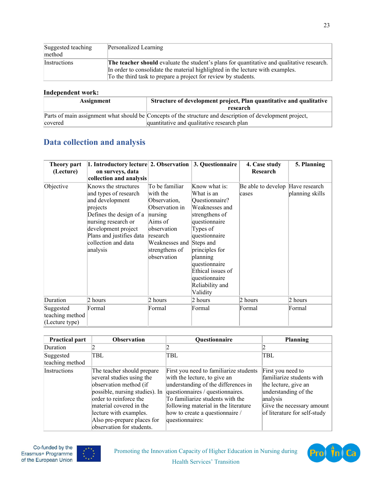| Suggested teaching<br>method | Personalized Learning                                                                                                                                                                                                                                 |
|------------------------------|-------------------------------------------------------------------------------------------------------------------------------------------------------------------------------------------------------------------------------------------------------|
| Instructions                 | <b>The teacher should</b> evaluate the student's plans for quantitative and qualitative research.<br>In order to consolidate the material highlighted in the lecture with examples.<br>To the third task to prepare a project for review by students. |

#### **Independent work:**

| Assignment | Structure of development project, Plan quantitative and qualitative                                       |  |
|------------|-----------------------------------------------------------------------------------------------------------|--|
|            | research                                                                                                  |  |
|            | Parts of main assignment what should be Concepts of the structure and description of development project, |  |
| covered    | quantitative and qualitative research plan                                                                |  |

## **Data collection and analysis**

| Theory part<br>(Lecture)                       | 1. Introductory lecture 2. Observation 3. Questionnaire<br>on surveys, data<br>collection and analysis                                                                                                               |                                                                                                                                                                             |                                                                                                                                                                                                                                                     | 4. Case study<br>Research                 | 5. Planning     |
|------------------------------------------------|----------------------------------------------------------------------------------------------------------------------------------------------------------------------------------------------------------------------|-----------------------------------------------------------------------------------------------------------------------------------------------------------------------------|-----------------------------------------------------------------------------------------------------------------------------------------------------------------------------------------------------------------------------------------------------|-------------------------------------------|-----------------|
| Objective                                      | Knows the structures<br>and types of research<br>and development<br>projects<br>Defines the design of a<br>nursing research or<br>development project<br>Plans and justifies data<br>collection and data<br>analysis | To be familiar<br>with the<br>Observation,<br>Observation in<br>nursing<br>Aims of<br>lobservation<br>research<br>Weaknesses and Steps and<br>strengthens of<br>observation | Know what is:<br>What is an<br>Questionnaire?<br>Weaknesses and<br>strengthens of<br>questionnaire<br>Types of<br>questionnaire<br>principles for<br>planning<br>questionnaire<br>Ethical issues of<br>questionnaire<br>Reliability and<br>Validity | Be able to develop Have research<br>cases | planning skills |
| Duration                                       | 2 hours                                                                                                                                                                                                              | 2 hours                                                                                                                                                                     | 2 hours                                                                                                                                                                                                                                             | 2 hours                                   | 2 hours         |
| Suggested<br>teaching method<br>(Lecture type) | Formal                                                                                                                                                                                                               | Formal                                                                                                                                                                      | Formal                                                                                                                                                                                                                                              | Formal                                    | Formal          |

| <b>Practical part</b>        | <b>Observation</b>                                                                                                                                                                                                                                             | Questionnaire                                                                                                                                                                                                                                                                       | Planning                                                                                                                                                                |
|------------------------------|----------------------------------------------------------------------------------------------------------------------------------------------------------------------------------------------------------------------------------------------------------------|-------------------------------------------------------------------------------------------------------------------------------------------------------------------------------------------------------------------------------------------------------------------------------------|-------------------------------------------------------------------------------------------------------------------------------------------------------------------------|
| Duration                     |                                                                                                                                                                                                                                                                |                                                                                                                                                                                                                                                                                     |                                                                                                                                                                         |
| Suggested<br>teaching method | TBL                                                                                                                                                                                                                                                            | TBL                                                                                                                                                                                                                                                                                 | TBL                                                                                                                                                                     |
| Instructions                 | The teacher should prepare<br>several studies using the<br>observation method (if<br>possible, nursing studies). In<br>order to reinforce the<br>material covered in the<br>lecture with examples.<br>Also pre-prepare places for<br>observation for students. | First you need to familiarize students<br>with the lecture, to give an<br>understanding of the differences in<br>questionnaires / questionnaires.<br>To familiarize students with the<br>following material in the literature<br>how to create a questionnaire /<br>questionnaires: | First you need to<br>familiarize students with<br>the lecture, give an<br>understanding of the<br>analysis<br>Give the necessary amount<br>of literature for self-study |





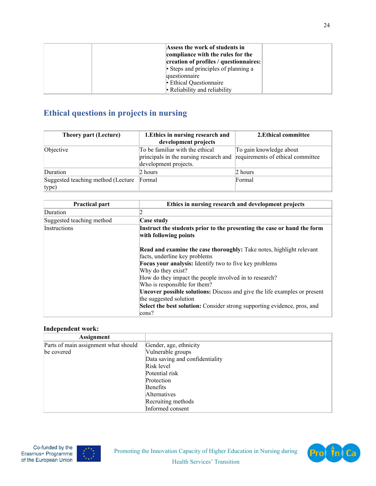| Assess the work of students in<br>compliance with the rules for the<br>creation of profiles / questionnaires:<br>• Steps and principles of planning a<br>questionnaire |  |
|------------------------------------------------------------------------------------------------------------------------------------------------------------------------|--|
| • Ethical Questionnaire<br>• Reliability and reliability                                                                                                               |  |

# **Ethical questions in projects in nursing**

| <b>Theory part (Lecture)</b>                | 1. Ethics in nursing research and<br>development projects                                                   | 2. Ethical committee    |
|---------------------------------------------|-------------------------------------------------------------------------------------------------------------|-------------------------|
| Objective                                   | To be familiar with the ethical<br>principals in the nursing research and requirements of ethical committee | To gain knowledge about |
|                                             | development projects.                                                                                       |                         |
| Duration                                    | 2 hours                                                                                                     | 2 hours                 |
| Suggested teaching method (Lecture<br>type) | Formal                                                                                                      | Formal                  |

| <b>Practical part</b>     | Ethics in nursing research and development projects                                                                                                                           |
|---------------------------|-------------------------------------------------------------------------------------------------------------------------------------------------------------------------------|
| Duration                  |                                                                                                                                                                               |
| Suggested teaching method | Case study                                                                                                                                                                    |
| <b>Instructions</b>       | Instruct the students prior to the presenting the case or hand the form<br>with following points                                                                              |
|                           | <b>Read and examine the case thoroughly:</b> Take notes, highlight relevant<br>facts, underline key problems<br><b>Focus your analysis:</b> Identify two to five key problems |
|                           | Why do they exist?<br>How do they impact the people involved in to research?                                                                                                  |
|                           | Who is responsible for them?<br><b>Uncover possible solutions:</b> Discuss and give the life examples or present                                                              |
|                           | the suggested solution                                                                                                                                                        |
|                           | Select the best solution: Consider strong supporting evidence, pros, and<br>$\cos$ ?                                                                                          |

#### **Independent work:**

| <b>Assignment</b>                    |                                 |
|--------------------------------------|---------------------------------|
| Parts of main assignment what should | Gender, age, ethnicity          |
| be covered                           | Vulnerable groups               |
|                                      | Data saving and confidentiality |
|                                      | Risk level                      |
|                                      | Potential risk                  |
|                                      | Protection                      |
|                                      | Benefits                        |
|                                      | <b>Alternatives</b>             |
|                                      | Recruiting methods              |
|                                      | Informed consent                |



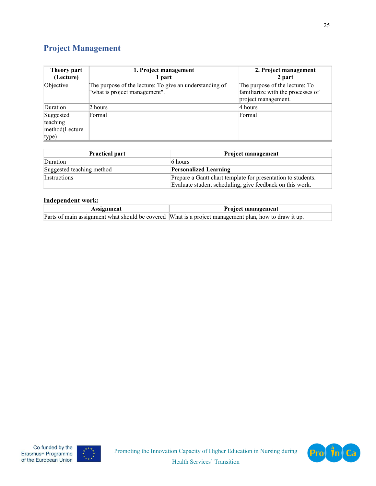# **Project Management**

| Theory part<br>(Lecture)                         | 1. Project management<br>1 part                                                          | 2. Project management<br>2 part                                                            |
|--------------------------------------------------|------------------------------------------------------------------------------------------|--------------------------------------------------------------------------------------------|
| Objective                                        | The purpose of the lecture: To give an understanding of<br>"what is project management". | The purpose of the lecture: To<br>familiarize with the processes of<br>project management. |
| Duration                                         | 2 hours                                                                                  | 4 hours                                                                                    |
| Suggested<br>teaching<br>method(Lecture<br>type) | Formal                                                                                   | Formal                                                                                     |

| <b>Practical part</b>     | <b>Project management</b>                                    |
|---------------------------|--------------------------------------------------------------|
| Duration                  | $6$ hours                                                    |
| Suggested teaching method | <b>Personalized Learning</b>                                 |
| <i>Instructions</i>       | Prepare a Gantt chart template for presentation to students. |
|                           | Evaluate student scheduling, give feedback on this work.     |

#### **Independent work:**

| Assignment | <b>Project management</b>                                                                             |
|------------|-------------------------------------------------------------------------------------------------------|
|            | Parts of main assignment what should be covered What is a project management plan, how to draw it up. |

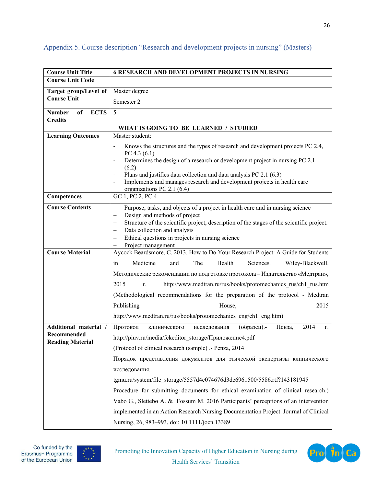| <b>Course Unit Title</b>               | <b>6 RESEARCH AND DEVELOPMENT PROJECTS IN NURSING</b>                                                                                                                             |  |
|----------------------------------------|-----------------------------------------------------------------------------------------------------------------------------------------------------------------------------------|--|
| <b>Course Unit Code</b>                |                                                                                                                                                                                   |  |
| Target group/Level of                  | Master degree                                                                                                                                                                     |  |
| <b>Course Unit</b>                     | Semester 2                                                                                                                                                                        |  |
| <b>ECTS</b><br><b>Number</b><br>of     | 5                                                                                                                                                                                 |  |
| <b>Credits</b>                         |                                                                                                                                                                                   |  |
|                                        | WHAT IS GOING TO BE LEARNED / STUDIED                                                                                                                                             |  |
| <b>Learning Outcomes</b>               | Master student:                                                                                                                                                                   |  |
|                                        | Knows the structures and the types of research and development projects PC 2.4,<br>$\blacksquare$<br>PC 4.3 (6.1)                                                                 |  |
|                                        | Determines the design of a research or development project in nursing PC 2.1<br>$\overline{\phantom{a}}$                                                                          |  |
|                                        | (6.2)                                                                                                                                                                             |  |
|                                        | Plans and justifies data collection and data analysis PC 2.1 (6.3)<br>Implements and manages research and development projects in health care                                     |  |
|                                        | organizations PC 2.1 (6.4)                                                                                                                                                        |  |
| Competences                            | GC 1, PC 2, PC 4                                                                                                                                                                  |  |
| <b>Course Contents</b>                 | Purpose, tasks, and objects of a project in health care and in nursing science<br>$\qquad \qquad -$                                                                               |  |
|                                        | Design and methods of project<br>$\overline{\phantom{0}}$                                                                                                                         |  |
|                                        | Structure of the scientific project, description of the stages of the scientific project.<br>$\overline{\phantom{m}}$<br>Data collection and analysis<br>$\overline{\phantom{0}}$ |  |
|                                        | Ethical questions in projects in nursing science<br>$\overline{\phantom{0}}$                                                                                                      |  |
|                                        | Project management                                                                                                                                                                |  |
| <b>Course Material</b>                 | Aycock Beardsmore, C. 2013. How to Do Your Research Project: A Guide for Students                                                                                                 |  |
|                                        | Medicine<br>The<br>Health<br>Sciences.<br>Wiley-Blackwell.<br>and<br>in                                                                                                           |  |
|                                        | Методические рекомендации по подготовке протокола - Издательство «Медтран»,                                                                                                       |  |
|                                        | 2015<br>http://www.medtran.ru/rus/books/protomechanics rus/ch1 rus.htm<br>Г.                                                                                                      |  |
|                                        | (Methodological recommendations for the preparation of the protocol - Medtran                                                                                                     |  |
|                                        | 2015<br>Publishing<br>House,                                                                                                                                                      |  |
|                                        | http://www.medtran.ru/rus/books/protomechanics_eng/ch1_eng.htm)                                                                                                                   |  |
| Additional material /                  | 2014<br>Протокол<br>(образец).-<br>Пенза,<br>исследования<br>клинического<br>$\Gamma$ .                                                                                           |  |
| Recommended<br><b>Reading Material</b> | http://piuv.ru/media/fckeditor storage/Приложение4.pdf                                                                                                                            |  |
|                                        | (Protocol of clinical research (sample) .- Penza, 2014                                                                                                                            |  |
|                                        | Порядок представления документов для этической экспертизы клинического                                                                                                            |  |
|                                        | исследования.                                                                                                                                                                     |  |
|                                        | tgmu.ru/system/file storage/5557d4c074676d3de6961500/5586.rtf?143181945                                                                                                           |  |
|                                        | Procedure for submitting documents for ethical examination of clinical research.)                                                                                                 |  |
|                                        | Vabo G., Slettebø A. & Fossum M. 2016 Participants' perceptions of an intervention                                                                                                |  |
|                                        | implemented in an Action Research Nursing Documentation Project. Journal of Clinical                                                                                              |  |
|                                        | Nursing, 26, 983-993, doi: 10.1111/jocn.13389                                                                                                                                     |  |

### Appendix 5. Course description "Research and development projects in nursing" (Masters)



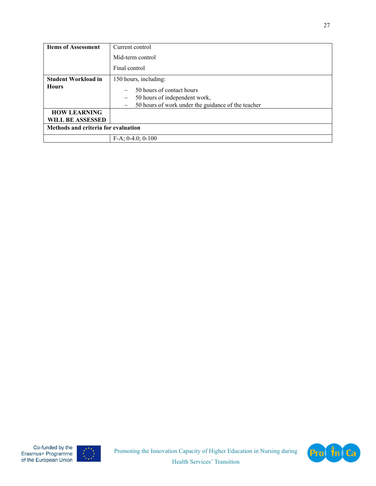| <b>Items of Assessment</b>          | Current control                                                                                                                                                                               |  |
|-------------------------------------|-----------------------------------------------------------------------------------------------------------------------------------------------------------------------------------------------|--|
|                                     | Mid-term control                                                                                                                                                                              |  |
|                                     | Final control                                                                                                                                                                                 |  |
| <b>Student Workload in</b>          | 150 hours, including:                                                                                                                                                                         |  |
| <b>Hours</b>                        | 50 hours of contact hours<br>$\overline{\phantom{0}}$<br>50 hours of independent work,<br>$\qquad \qquad -$<br>50 hours of work under the guidance of the teacher<br>$\overline{\phantom{0}}$ |  |
| <b>HOW LEARNING</b>                 |                                                                                                                                                                                               |  |
| WILL BE ASSESSED                    |                                                                                                                                                                                               |  |
| Methods and criteria for evaluation |                                                                                                                                                                                               |  |
|                                     | $F-A$ ; 0-4.0; 0-100                                                                                                                                                                          |  |



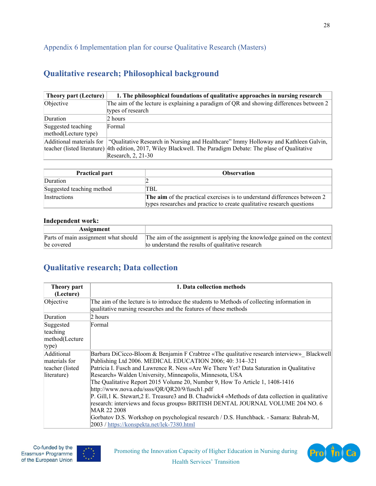## Appendix 6 Implementation plan for course Qualitative Research (Masters)

## **Qualitative research; Philosophical background**

| <b>Theory part (Lecture)</b> | 1. The philosophical foundations of qualitative approaches in nursing research                                |
|------------------------------|---------------------------------------------------------------------------------------------------------------|
| Objective                    | The aim of the lecture is explaining a paradigm of QR and showing differences between $2 \mid$                |
|                              | types of research                                                                                             |
| Duration                     | 2 hours                                                                                                       |
| Suggested teaching           | Formal                                                                                                        |
| method(Lecture type)         |                                                                                                               |
|                              | Additional materials for "Qualitative Research in Nursing and Healthcare" Immy Holloway and Kathleen Galvin,  |
|                              | teacher (listed literature) 4th edition, 2017, Wiley Blackwell. The Paradigm Debate: The plase of Qualitative |
|                              | Research, 2, 21-30                                                                                            |

| <b>Practical part</b>     | <b>Observation</b>                                                                                                                                  |
|---------------------------|-----------------------------------------------------------------------------------------------------------------------------------------------------|
| Duration                  |                                                                                                                                                     |
| Suggested teaching method | TBL                                                                                                                                                 |
| <i>Instructions</i>       | The aim of the practical exercises is to understand differences between 2<br>types researches and practice to create qualitative research questions |

#### **Independent work:**

| Assignment                           |                                                                           |
|--------------------------------------|---------------------------------------------------------------------------|
| Parts of main assignment what should | The aim of the assignment is applying the knowledge gained on the context |
| be covered                           | to understand the results of qualitative research                         |

## **Qualitative research; Data collection**

| Theory part<br>(Lecture)                                      | 1. Data collection methods                                                                                                                                                                                                                                                                                                                                                                                                                                                                                                                                                                                                                                                                                                                                                                     |
|---------------------------------------------------------------|------------------------------------------------------------------------------------------------------------------------------------------------------------------------------------------------------------------------------------------------------------------------------------------------------------------------------------------------------------------------------------------------------------------------------------------------------------------------------------------------------------------------------------------------------------------------------------------------------------------------------------------------------------------------------------------------------------------------------------------------------------------------------------------------|
| Objective                                                     | The aim of the lecture is to introduce the students to Methods of collecting information in<br>qualitative nursing researches and the features of these methods                                                                                                                                                                                                                                                                                                                                                                                                                                                                                                                                                                                                                                |
| Duration                                                      | 2 hours                                                                                                                                                                                                                                                                                                                                                                                                                                                                                                                                                                                                                                                                                                                                                                                        |
| Suggested<br>teaching<br>method(Lecture<br>type)              | Formal                                                                                                                                                                                                                                                                                                                                                                                                                                                                                                                                                                                                                                                                                                                                                                                         |
| Additional<br>materials for<br>teacher (listed<br>literature) | Barbara DiCicco-Bloom & Benjamin F Crabtree «The qualitative research interview» Blackwell<br>Publishing Ltd 2006. MEDICAL EDUCATION 2006; 40: 314-321<br>Patricia I. Fusch and Lawrence R. Ness «Are We There Yet? Data Saturation in Qualitative<br>Research» Walden University, Minneapolis, Minnesota, USA<br>The Qualitative Report 2015 Volume 20, Number 9, How To Article 1, 1408-1416<br>http://www.nova.edu/ssss/QR/QR20/9/fusch1.pdf<br>P. Gill, 1 K. Stewart, 2 E. Treasure 3 and B. Chadwick4 «Methods of data collection in qualitative<br>research: interviews and focus groups» BRITISH DENTAL JOURNAL VOLUME 204 NO. 6<br>MAR 22 2008<br>Gorbatov D.S. Workshop on psychological research / D.S. Hunchback. - Samara: Bahrah-M,<br>2003 / https://konspekta.net/lek-7380.html |



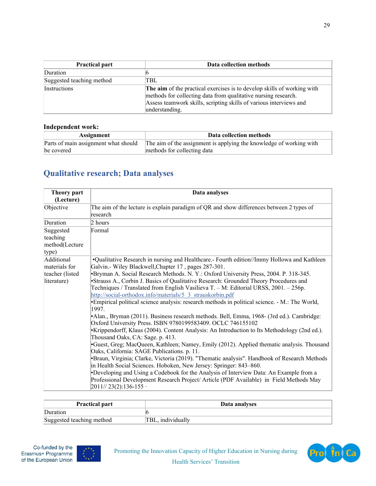| <b>Practical part</b>     | Data collection methods                                                                                                                                                                                                           |
|---------------------------|-----------------------------------------------------------------------------------------------------------------------------------------------------------------------------------------------------------------------------------|
| Duration                  |                                                                                                                                                                                                                                   |
| Suggested teaching method | TBL                                                                                                                                                                                                                               |
| Instructions              | The aim of the practical exercises is to develop skills of working with<br>methods for collecting data from qualitative nursing research.<br>Assess teamwork skills, scripting skills of various interviews and<br>understanding. |

#### **Independent work:**

| Assignment                           | Data collection methods                                             |
|--------------------------------------|---------------------------------------------------------------------|
| Parts of main assignment what should | The aim of the assignment is applying the knowledge of working with |
| be covered                           | methods for collecting data                                         |

# **Qualitative research; Data analyses**

| Theory part<br>(Lecture)                         | Data analyses                                                                                                                                                                                                                               |
|--------------------------------------------------|---------------------------------------------------------------------------------------------------------------------------------------------------------------------------------------------------------------------------------------------|
| Objective                                        | The aim of the lecture is explain paradigm of QR and show differences between 2 types of<br>lresearch                                                                                                                                       |
| Duration                                         | 2 hours                                                                                                                                                                                                                                     |
| Suggested<br>teaching<br>method(Lecture<br>type) | Formal                                                                                                                                                                                                                                      |
| Additional                                       | .Qualitative Research in nursing and Healthcare.- Fourth edition//Immy Hollowa and Kathleen                                                                                                                                                 |
| materials for                                    | Galvin.- Wiley Blackwell, Chapter 17, pages 287-301.                                                                                                                                                                                        |
| teacher (listed                                  | •Bryman A. Social Research Methods. N. Y.: Oxford University Press, 2004. P. 318-345.                                                                                                                                                       |
| literature)                                      | *Strauss A., Corbin J. Basics of Qualitative Research: Grounded Theory Procedures and<br>Techniques / Translated from English Vasilieva T. - M: Editorial URSS, 2001. - 256p.<br>http://social-orthodox.info/materials/5 3 strauskorbin.pdf |
|                                                  | •Empirical political science analysis: research methods in political science. - M.: The World,<br>1997.                                                                                                                                     |
|                                                  | •Alan., Bryman (2011). Business research methods. Bell, Emma, 1968- (3rd ed.). Cambridge:<br>Oxford University Press. ISBN 9780199583409. OCLC 746155102                                                                                    |
|                                                  | •Krippendorff, Klaus (2004). Content Analysis: An Introduction to Its Methodology (2nd ed.).<br>Thousand Oaks, CA: Sage. p. 413.                                                                                                            |
|                                                  | Guest, Greg; MacQueen, Kathleen; Namey, Emily (2012). Applied thematic analysis. Thousand<br>Oaks, California: SAGE Publications. p. 11.                                                                                                    |
|                                                  | •Braun, Virginia; Clarke, Victoria (2019). "Thematic analysis". Handbook of Research Methods<br>in Health Social Sciences. Hoboken, New Jersey: Springer: 843-860.                                                                          |
|                                                  | •Developing and Using a Codebook for the Analysis of Interview Data: An Example from a<br>Professional Development Research Project/ Article (PDF Available) in Field Methods May<br>$ 2011/723(2):136-155$                                 |

| <b>Practical part</b>     | Data analyses     |
|---------------------------|-------------------|
| Duration                  |                   |
| Suggested teaching method | TBL, individually |



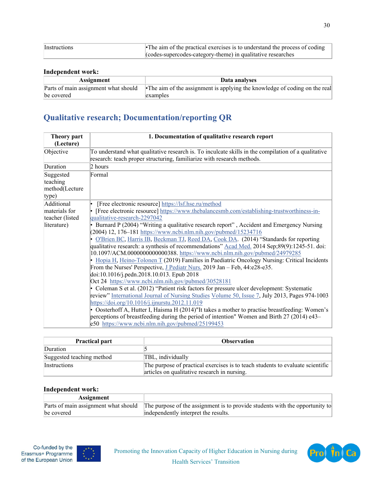| Instructions | • The aim of the practical exercises is to understand the process of coding |
|--------------|-----------------------------------------------------------------------------|
|              | codes-supercodes-category-theme) in qualitative researches                  |

### **Independent work:**

| Assignment | Data analyses                                                                                                      |
|------------|--------------------------------------------------------------------------------------------------------------------|
|            | Parts of main assignment what should<br>•The aim of the assignment is applying the knowledge of coding on the real |
| be covered | examples                                                                                                           |

# **Qualitative research; Documentation/reporting QR**

| <b>Theory part</b><br>(Lecture)                  | 1. Documentation of qualitative research report                                                                                                                                                                                                                                                                                                                                                                                                                                                                                                            |
|--------------------------------------------------|------------------------------------------------------------------------------------------------------------------------------------------------------------------------------------------------------------------------------------------------------------------------------------------------------------------------------------------------------------------------------------------------------------------------------------------------------------------------------------------------------------------------------------------------------------|
| Objective                                        | To understand what qualitative research is. To inculcate skills in the compilation of a qualitative<br>research: teach proper structuring, familiarize with research methods.                                                                                                                                                                                                                                                                                                                                                                              |
| Duration                                         | 2 hours                                                                                                                                                                                                                                                                                                                                                                                                                                                                                                                                                    |
| Suggested<br>teaching<br>method(Lecture<br>type) | Formal                                                                                                                                                                                                                                                                                                                                                                                                                                                                                                                                                     |
| Additional                                       | [Free electronic resource] https://lsf.hse.ru/method                                                                                                                                                                                                                                                                                                                                                                                                                                                                                                       |
| materials for<br>teacher (listed<br>literature)  | [Free electronic resource] https://www.thebalancesmb.com/establishing-trustworthiness-in-<br>qualitative-research-2297042<br>Burnard P (2004) "Writing a qualitative research report", Accident and Emergency Nursing<br>(2004) 12, 176–181 https://www.ncbi.nlm.nih.gov/pubmed/15234716<br>O'Brien BC, Harris IB, Beckman TJ, Reed DA, Cook DA. (2014) "Standards for reporting                                                                                                                                                                           |
|                                                  | qualitative research: a synthesis of recommendations" Acad Med. 2014 Sep;89(9):1245-51. doi:<br>10.1097/ACM.0000000000000388.https://www.ncbi.nlm.nih.gov/pubmed/24979285<br>Hopia H, Heino-Tolonen T (2019) Families in Paediatric Oncology Nursing: Critical Incidents<br>From the Nurses' Perspective, J Pediatr Nurs. 2019 Jan - Feb, 44:e28-e35.<br>doi:10.1016/j.pedn.2018.10.013. Epub 2018                                                                                                                                                         |
|                                                  | Oct 24 https://www.ncbi.nlm.nih.gov/pubmed/30528181<br>• Coleman S et al. (2012) "Patient risk factors for pressure ulcer development: Systematic<br>review" International Journal of Nursing Studies Volume 50, Issue 7, July 2013, Pages 974-1003<br>https://doi.org/10.1016/j.ijnurstu.2012.11.019<br>• Oosterhoff A, Hutter I, Haisma H (2014)"It takes a mother to practise breastfeeding: Women's<br>perceptions of breastfeeding during the period of intention" Women and Birth 27 (2014) e43–<br>e50 https://www.ncbi.nlm.nih.gov/pubmed/25199453 |

| <b>Practical part</b>     | <b>Observation</b>                                                             |
|---------------------------|--------------------------------------------------------------------------------|
| Duration                  |                                                                                |
| Suggested teaching method | TBL, individually                                                              |
| <i>Instructions</i>       | The purpose of practical exercises is to teach students to evaluate scientific |
|                           | articles on qualitative research in nursing.                                   |

#### **Independent work:**

| Assignment |                                                                                                                   |
|------------|-------------------------------------------------------------------------------------------------------------------|
|            | Parts of main assignment what should The purpose of the assignment is to provide students with the opportunity to |
| be covered | independently interpret the results.                                                                              |



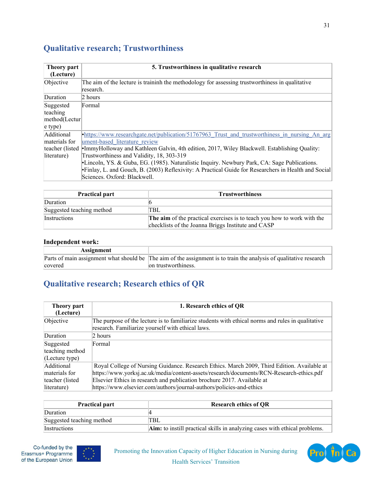# **Qualitative research; Trustworthiness**

| Theory part<br>(Lecture) | 5. Trustworthiness in qualitative research                                                                   |
|--------------------------|--------------------------------------------------------------------------------------------------------------|
| Objective                | The aim of the lecture is traininh the methodology for assessing trustworthiness in qualitative<br>research. |
| Duration                 | 2 hours                                                                                                      |
| Suggested                | Formal                                                                                                       |
| teaching                 |                                                                                                              |
| method(Lectur            |                                                                                                              |
| $ e $ type)              |                                                                                                              |
| Additional               | https://www.researchgate.net/publication/51767963 Trust and trustworthiness in nursing An arg                |
| materials for            | ument-based literature review                                                                                |
|                          | teacher (listed •ImmyHolloway and Kathleen Galvin, 4th edition, 2017, Wiley Blackwell. Establishing Quality: |
| literature)              | Trustworthiness and Validity, 18, 303-319                                                                    |
|                          | •Lincoln, YS. & Guba, EG. (1985). Naturalistic Inquiry. Newbury Park, CA: Sage Publications.                 |
|                          | Finlay, L. and Gouch, B. (2003) Reflexivity: A Practical Guide for Researchers in Health and Social          |
|                          | Sciences. Oxford: Blackwell.                                                                                 |

| <b>Practical part</b>     | <b>Trustworthiness</b>                                                                                                        |
|---------------------------|-------------------------------------------------------------------------------------------------------------------------------|
| Duration                  |                                                                                                                               |
| Suggested teaching method | TBL                                                                                                                           |
| <b>Instructions</b>       | The aim of the practical exercises is to teach you how to work with the<br>checklists of the Joanna Briggs Institute and CASP |

#### **Independent work:**

| <b>Assignment</b> |                                                                                                                    |
|-------------------|--------------------------------------------------------------------------------------------------------------------|
|                   | Parts of main assignment what should be The aim of the assignment is to train the analysis of qualitative research |
| covered           | on trustworthiness.                                                                                                |

# **Qualitative research; Research ethics of QR**

| Theory part<br>(Lecture) | 1. Research ethics of QR                                                                                                                               |
|--------------------------|--------------------------------------------------------------------------------------------------------------------------------------------------------|
| Objective                | The purpose of the lecture is to familiarize students with ethical norms and rules in qualitative<br>research. Familiarize yourself with ethical laws. |
| Duration                 | 2 hours                                                                                                                                                |
| Suggested                | Formal                                                                                                                                                 |
| teaching method          |                                                                                                                                                        |
| (Lecture type)           |                                                                                                                                                        |
| Additional               | Royal College of Nursing Guidance. Research Ethics. March 2009, Third Edition. Available at                                                            |
| materials for            | https://www.yorksj.ac.uk/media/content-assets/research/documents/RCN-Research-ethics.pdf                                                               |
| teacher (listed          | Elsevier Ethics in research and publication brochure 2017. Available at                                                                                |
| literature)              | https://www.elsevier.com/authors/journal-authors/policies-and-ethics                                                                                   |

| <b>Practical part</b>     | <b>Research ethics of QR</b>                                               |
|---------------------------|----------------------------------------------------------------------------|
| Duration                  |                                                                            |
| Suggested teaching method | TBL                                                                        |
| <i>Instructions</i>       | Aim: to instill practical skills in analyzing cases with ethical problems. |



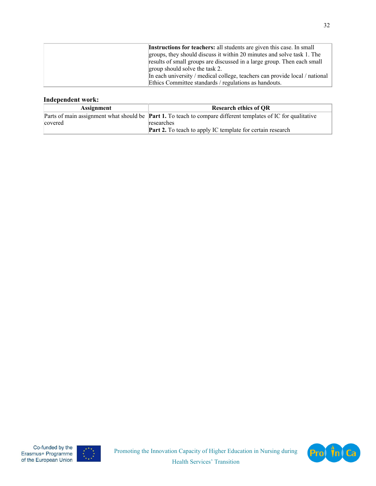| Instructions for teachers: all students are given this case. In small       |
|-----------------------------------------------------------------------------|
| groups, they should discuss it within 20 minutes and solve task 1. The      |
| results of small groups are discussed in a large group. Then each small     |
| group should solve the task 2.                                              |
| In each university / medical college, teachers can provide local / national |
| Ethics Committee standards / regulations as handouts.                       |

### **Independent work:**

| <b>Assignment</b> | <b>Research ethics of OR</b>                                                                                         |
|-------------------|----------------------------------------------------------------------------------------------------------------------|
|                   | Parts of main assignment what should be <b>Part 1.</b> To teach to compare different templates of IC for qualitative |
| covered           | researches                                                                                                           |
|                   | <b>Part 2.</b> To teach to apply IC template for certain research                                                    |



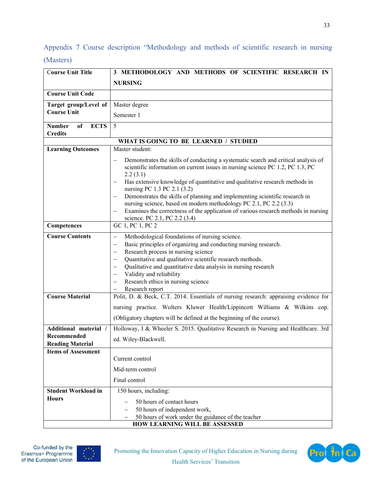Appendix 7 Course description "Methodology and methods of scientific research in nursing (Masters)

| <b>Course Unit Title</b>                                        | 3 METHODOLOGY AND METHODS OF SCIENTIFIC RESEARCH IN                                                                                                                                                                                                                                                                                                                                                                                                                                                                                                                       |
|-----------------------------------------------------------------|---------------------------------------------------------------------------------------------------------------------------------------------------------------------------------------------------------------------------------------------------------------------------------------------------------------------------------------------------------------------------------------------------------------------------------------------------------------------------------------------------------------------------------------------------------------------------|
|                                                                 | <b>NURSING</b>                                                                                                                                                                                                                                                                                                                                                                                                                                                                                                                                                            |
| <b>Course Unit Code</b>                                         |                                                                                                                                                                                                                                                                                                                                                                                                                                                                                                                                                                           |
| Target group/Level of                                           | Master degree                                                                                                                                                                                                                                                                                                                                                                                                                                                                                                                                                             |
| <b>Course Unit</b>                                              | Semester 1                                                                                                                                                                                                                                                                                                                                                                                                                                                                                                                                                                |
| <b>Number</b><br><b>ECTS</b><br>of                              | 5                                                                                                                                                                                                                                                                                                                                                                                                                                                                                                                                                                         |
| <b>Credits</b>                                                  |                                                                                                                                                                                                                                                                                                                                                                                                                                                                                                                                                                           |
|                                                                 | WHAT IS GOING TO BE LEARNED / STUDIED                                                                                                                                                                                                                                                                                                                                                                                                                                                                                                                                     |
| <b>Learning Outcomes</b>                                        | Master student:                                                                                                                                                                                                                                                                                                                                                                                                                                                                                                                                                           |
|                                                                 | Demonstrates the skills of conducting a systematic search and critical analysis of<br>scientific information on current issues in nursing science PC 1.2, PC 1.3, PC<br>2.2(3.1)<br>Has extensive knowledge of quantitative and qualitative research methods in<br>nursing PC 1.3 PC 2.1 (3.2)<br>Demonstrates the skills of planning and implementing scientific research in                                                                                                                                                                                             |
|                                                                 | nursing science, based on modern methodology PC 2.1, PC 2.2 (3.3)<br>Examines the correctness of the application of various research methods in nursing<br>science. PC 2.1, PC 2.2 (3.4)                                                                                                                                                                                                                                                                                                                                                                                  |
| Competences                                                     | GC 1, PC 1, PC 2                                                                                                                                                                                                                                                                                                                                                                                                                                                                                                                                                          |
| <b>Course Contents</b>                                          | Methodological foundations of nursing science.<br>$\qquad \qquad -$<br>Basic principles of organizing and conducting nursing research.<br>$\overline{\phantom{0}}$<br>Research process in nursing science<br>$\overline{\phantom{0}}$<br>Quantitative and qualitative scientific research methods.<br>$\overline{\phantom{0}}$<br>Qualitative and quantitative data analysis in nursing research<br>$\overline{\phantom{0}}$<br>Validity and reliability<br>$\overline{\phantom{0}}$<br>Research ethics in nursing science<br>$\overline{\phantom{0}}$<br>Research report |
| <b>Course Material</b>                                          | Polit, D. & Beck, C.T. 2014. Essentials of nursing research: appraising evidence for                                                                                                                                                                                                                                                                                                                                                                                                                                                                                      |
|                                                                 | nursing practice. Wolters Kluwer Health/Lippincott Williams & Wilkins cop.<br>(Obligatory chapters will be defined at the beginning of the course).                                                                                                                                                                                                                                                                                                                                                                                                                       |
| Additional material /<br>Recommended<br><b>Reading Material</b> | Holloway, I & Wheeler S. 2015. Qualitative Research in Nursing and Healthcare. 3rd<br>ed. Wiley-Blackwell.                                                                                                                                                                                                                                                                                                                                                                                                                                                                |
| <b>Items of Assessment</b>                                      | Current control<br>Mid-term control                                                                                                                                                                                                                                                                                                                                                                                                                                                                                                                                       |
|                                                                 | Final control                                                                                                                                                                                                                                                                                                                                                                                                                                                                                                                                                             |
| <b>Student Workload in</b><br><b>Hours</b>                      | 150 hours, including:<br>50 hours of contact hours<br>50 hours of independent work,<br>50 hours of work under the guidance of the teacher<br><b>HOW LEARNING WILL BE ASSESSED</b>                                                                                                                                                                                                                                                                                                                                                                                         |

Co-funded by the Erasmus+ Programme of the European Union